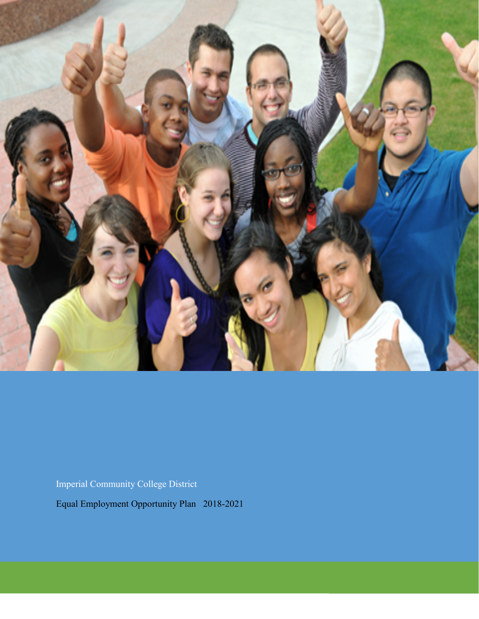

Imperial Community College District

Equal Employment Opportunity Plan 2018-2021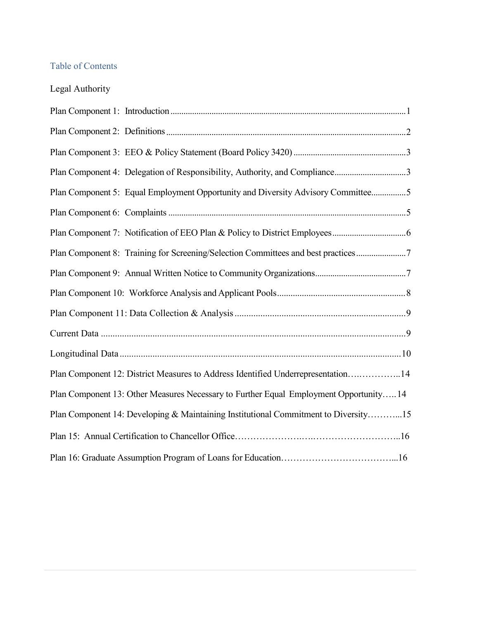# Table of Contents

| Legal Authority |  |
|-----------------|--|
|                 |  |

| Plan Component 4: Delegation of Responsibility, Authority, and Compliance3            |
|---------------------------------------------------------------------------------------|
| Plan Component 5: Equal Employment Opportunity and Diversity Advisory Committee5      |
|                                                                                       |
|                                                                                       |
| Plan Component 8: Training for Screening/Selection Committees and best practices7     |
|                                                                                       |
|                                                                                       |
|                                                                                       |
|                                                                                       |
|                                                                                       |
| Plan Component 12: District Measures to Address Identified Underrepresentation14      |
| Plan Component 13: Other Measures Necessary to Further Equal Employment Opportunity14 |
| Plan Component 14: Developing & Maintaining Institutional Commitment to Diversity15   |
|                                                                                       |
|                                                                                       |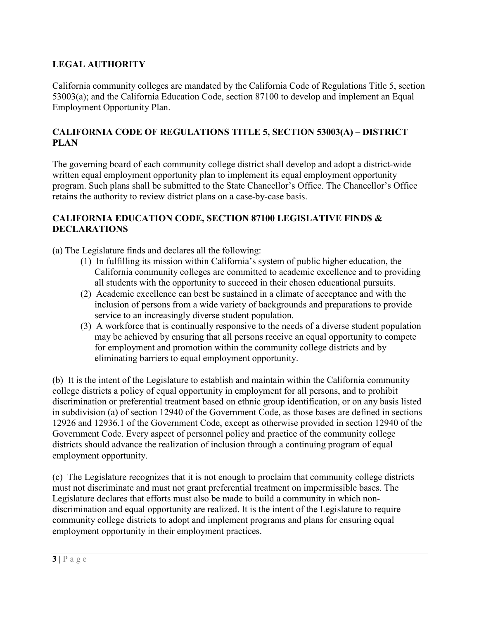# **LEGAL AUTHORITY**

California community colleges are mandated by the California Code of Regulations Title 5, section 53003(a); and the California Education Code, section 87100 to develop and implement an Equal Employment Opportunity Plan.

## **CALIFORNIA CODE OF REGULATIONS TITLE 5, SECTION 53003(A) – DISTRICT PLAN**

The governing board of each community college district shall develop and adopt a district-wide written equal employment opportunity plan to implement its equal employment opportunity program. Such plans shall be submitted to the State Chancellor's Office. The Chancellor's Office retains the authority to review district plans on a case-by-case basis.

#### **CALIFORNIA EDUCATION CODE, SECTION 87100 LEGISLATIVE FINDS & DECLARATIONS**

(a) The Legislature finds and declares all the following:

- (1) In fulfilling its mission within California's system of public higher education, the California community colleges are committed to academic excellence and to providing all students with the opportunity to succeed in their chosen educational pursuits.
- (2) Academic excellence can best be sustained in a climate of acceptance and with the inclusion of persons from a wide variety of backgrounds and preparations to provide service to an increasingly diverse student population.
- (3) A workforce that is continually responsive to the needs of a diverse student population may be achieved by ensuring that all persons receive an equal opportunity to compete for employment and promotion within the community college districts and by eliminating barriers to equal employment opportunity.

(b) It is the intent of the Legislature to establish and maintain within the California community college districts a policy of equal opportunity in employment for all persons, and to prohibit discrimination or preferential treatment based on ethnic group identification, or on any basis listed in subdivision (a) of section 12940 of the Government Code, as those bases are defined in sections 12926 and 12936.1 of the Government Code, except as otherwise provided in section 12940 of the Government Code. Every aspect of personnel policy and practice of the community college districts should advance the realization of inclusion through a continuing program of equal employment opportunity.

(c) The Legislature recognizes that it is not enough to proclaim that community college districts must not discriminate and must not grant preferential treatment on impermissible bases. The Legislature declares that efforts must also be made to build a community in which nondiscrimination and equal opportunity are realized. It is the intent of the Legislature to require community college districts to adopt and implement programs and plans for ensuring equal employment opportunity in their employment practices.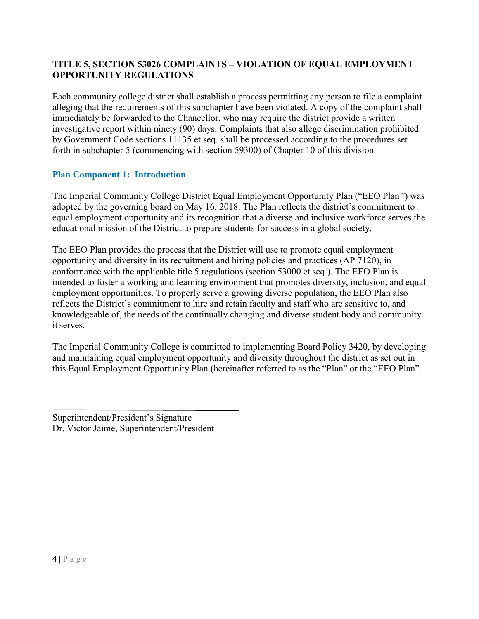# **TITLE 5, SECTION 53026 COMPLAINTS – VIOLATION OF EQUAL EMPLOYMENT OPPORTUNITY REGULATIONS**

Each community college district shall establish a process permitting any person to file a complaint alleging that the requirements of this subchapter have been violated. A copy of the complaint shall immediately be forwarded to the Chancellor, who may require the district provide a written investigative report within ninety (90) days. Complaints that also allege discrimination prohibited by Government Code sections 11135 et seq. shall be processed according to the procedures set forth in subchapter 5 (commencing with section 59300) of Chapter 10 of this division.

#### <span id="page-3-0"></span>**Plan Component 1: Introduction**

The Imperial Community College District Equal Employment Opportunity Plan ("EEO Plan*"*) was adopted by the governing board on May 16, 2018. The Plan reflects the district's commitment to equal employment opportunity and its recognition that a diverse and inclusive workforce serves the educational mission of the District to prepare students for success in a global society.

The EEO Plan provides the process that the District will use to promote equal employment opportunity and diversity in its recruitment and hiring policies and practices (AP 7120), in conformance with the applicable title 5 regulations (section 53000 et seq.). The EEO Plan is intended to foster a working and learning environment that promotes diversity, inclusion, and equal employment opportunities. To properly serve a growing diverse population, the EEO Plan also reflects the District's commitment to hire and retain faculty and staff who are sensitive to, and knowledgeable of, the needs of the continually changing and diverse student body and community it serves.

The Imperial Community College is committed to implementing Board Policy 3420, by developing and maintaining equal employment opportunity and diversity throughout the district as set out in this Equal Employment Opportunity Plan (hereinafter referred to as the "Plan" or the "EEO Plan".

Superintendent/President's Signature Dr. Victor Jaime, Superintendent/President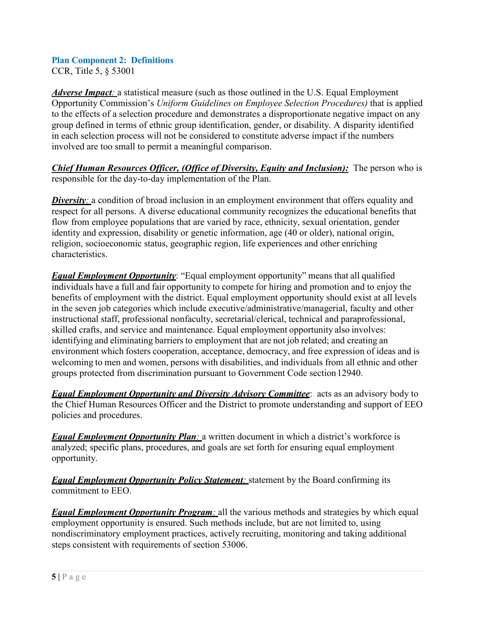# <span id="page-4-0"></span>**Plan Component 2: Definitions**

CCR, Title 5, § 53001

*Adverse Impact*: a statistical measure (such as those outlined in the U.S. Equal Employment Opportunity Commission's *Uniform Guidelines on Employee Selection Procedures)* that is applied to the effects of a selection procedure and demonstrates a disproportionate negative impact on any group defined in terms of ethnic group identification, gender, or disability. A disparity identified in each selection process will not be considered to constitute adverse impact if the numbers involved are too small to permit a meaningful comparison.

*Chief Human Resources Officer, (Office of Diversity, Equity and Inclusion):* The person who is responsible for the day-to-day implementation of the Plan.

*Diversity*: a condition of broad inclusion in an employment environment that offers equality and respect for all persons. A diverse educational community recognizes the educational benefits that flow from employee populations that are varied by race, ethnicity, sexual orientation, gender identity and expression, disability or genetic information, age (40 or older), national origin, religion, socioeconomic status, geographic region, life experiences and other enriching characteristics.

*Equal Employment Opportunity*: "Equal employment opportunity" means that all qualified individuals have a full and fair opportunity to compete for hiring and promotion and to enjoy the benefits of employment with the district. Equal employment opportunity should exist at all levels in the seven job categories which include executive/administrative/managerial, faculty and other instructional staff, professional nonfaculty, secretarial/clerical, technical and paraprofessional, skilled crafts, and service and maintenance. Equal employment opportunity also involves: identifying and eliminating barriers to employment that are not job related; and creating an environment which fosters cooperation, acceptance, democracy, and free expression of ideas and is welcoming to men and women, persons with disabilities, and individuals from all ethnic and other groups protected from discrimination pursuant to Government Code section12940.

*Equal Employment Opportunity and Diversity Advisory Committee*: acts as an advisory body to the Chief Human Resources Officer and the District to promote understanding and support of EEO policies and procedures.

*Equal Employment Opportunity Plan*: a written document in which a district's workforce is analyzed; specific plans, procedures, and goals are set forth for ensuring equal employment opportunity.

*Equal Employment Opportunity Policy Statement*: statement by the Board confirming its commitment to EEO.

*Equal Employment Opportunity Program*: all the various methods and strategies by which equal employment opportunity is ensured. Such methods include, but are not limited to, using nondiscriminatory employment practices, actively recruiting, monitoring and taking additional steps consistent with requirements of section 53006.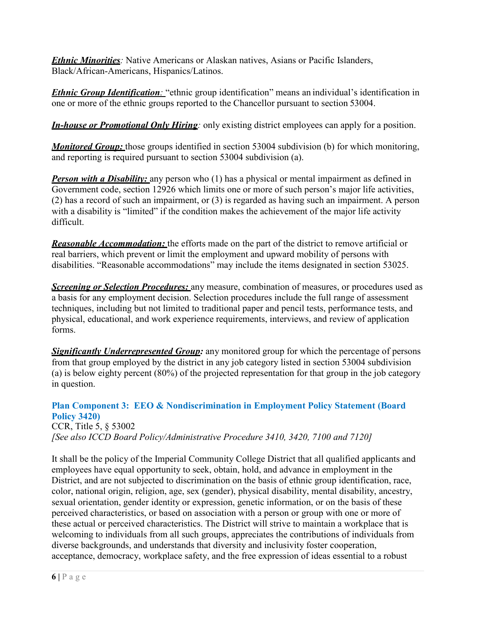**Ethnic Minorities**: Native Americans or Alaskan natives, Asians or Pacific Islanders, Black/African-Americans, Hispanics/Latinos.

*Ethnic Group Identification*: "ethnic group identification" means an individual's identification in one or more of the ethnic groups reported to the Chancellor pursuant to section 53004.

*In-house or Promotional Only Hiring:* only existing district employees can apply for a position.

*Monitored Group:* those groups identified in section 53004 subdivision (b) for which monitoring, and reporting is required pursuant to section 53004 subdivision (a).

*Person with a Disability:* any person who (1) has a physical or mental impairment as defined in Government code, section 12926 which limits one or more of such person's major life activities, (2) has a record of such an impairment, or (3) is regarded as having such an impairment. A person with a disability is "limited" if the condition makes the achievement of the major life activity difficult.

*Reasonable Accommodation:* the efforts made on the part of the district to remove artificial or real barriers, which prevent or limit the employment and upward mobility of persons with disabilities. "Reasonable accommodations" may include the items designated in section 53025.

**Screening or Selection Procedures:** any measure, combination of measures, or procedures used as a basis for any employment decision. Selection procedures include the full range of assessment techniques, including but not limited to traditional paper and pencil tests, performance tests, and physical, educational, and work experience requirements, interviews, and review of application forms.

*Significantly Underrepresented Group:* any monitored group for which the percentage of persons from that group employed by the district in any job category listed in section 53004 subdivision (a) is below eighty percent (80%) of the projected representation for that group in the job category in question.

# <span id="page-5-0"></span>**Plan Component 3: EEO & Nondiscrimination in Employment Policy Statement (Board Policy 3420)**

CCR, Title 5, § 53002 *[See also ICCD Board Policy/Administrative Procedure 3410, 3420, 7100 and 7120]*

It shall be the policy of the Imperial Community College District that all qualified applicants and employees have equal opportunity to seek, obtain, hold, and advance in employment in the District, and are not subjected to discrimination on the basis of ethnic group identification, race, color, national origin, religion, age, sex (gender), physical disability, mental disability, ancestry, sexual orientation, gender identity or expression, genetic information, or on the basis of these perceived characteristics, or based on association with a person or group with one or more of these actual or perceived characteristics. The District will strive to maintain a workplace that is welcoming to individuals from all such groups, appreciates the contributions of individuals from diverse backgrounds, and understands that diversity and inclusivity foster cooperation, acceptance, democracy, workplace safety, and the free expression of ideas essential to a robust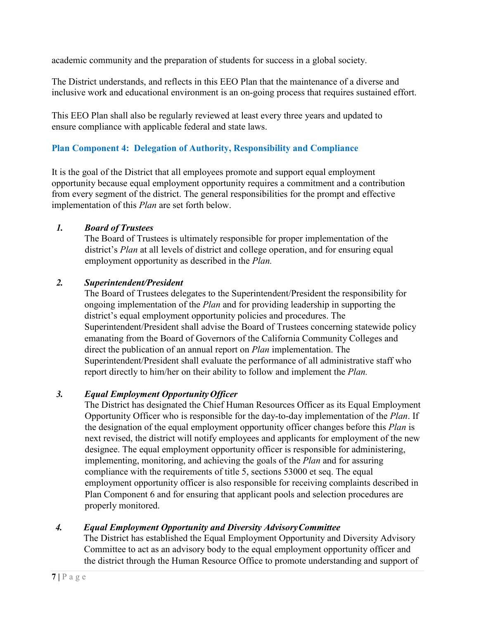academic community and the preparation of students for success in a global society.

The District understands, and reflects in this EEO Plan that the maintenance of a diverse and inclusive work and educational environment is an on-going process that requires sustained effort.

This EEO Plan shall also be regularly reviewed at least every three years and updated to ensure compliance with applicable federal and state laws.

# **Plan Component 4: Delegation of Authority, Responsibility and Compliance**

It is the goal of the District that all employees promote and support equal employment opportunity because equal employment opportunity requires a commitment and a contribution from every segment of the district. The general responsibilities for the prompt and effective implementation of this *Plan* are set forth below.

# *1. Board of Trustees*

The Board of Trustees is ultimately responsible for proper implementation of the district's *Plan* at all levels of district and college operation, and for ensuring equal employment opportunity as described in the *Plan.*

# *2. Superintendent/President*

The Board of Trustees delegates to the Superintendent/President the responsibility for ongoing implementation of the *Plan* and for providing leadership in supporting the district's equal employment opportunity policies and procedures. The Superintendent/President shall advise the Board of Trustees concerning statewide policy emanating from the Board of Governors of the California Community Colleges and direct the publication of an annual report on *Plan* implementation. The Superintendent/President shall evaluate the performance of all administrative staff who report directly to him/her on their ability to follow and implement the *Plan.*

# *3. Equal Employment OpportunityOfficer*

The District has designated the Chief Human Resources Officer as its Equal Employment Opportunity Officer who is responsible for the day-to-day implementation of the *Plan*. If the designation of the equal employment opportunity officer changes before this *Plan* is next revised, the district will notify employees and applicants for employment of the new designee. The equal employment opportunity officer is responsible for administering, implementing, monitoring, and achieving the goals of the *Plan* and for assuring compliance with the requirements of title 5, sections 53000 et seq. The equal employment opportunity officer is also responsible for receiving complaints described in Plan Component 6 and for ensuring that applicant pools and selection procedures are properly monitored.

#### *4. Equal Employment Opportunity and Diversity AdvisoryCommittee*

The District has established the Equal Employment Opportunity and Diversity Advisory Committee to act as an advisory body to the equal employment opportunity officer and the district through the Human Resource Office to promote understanding and support of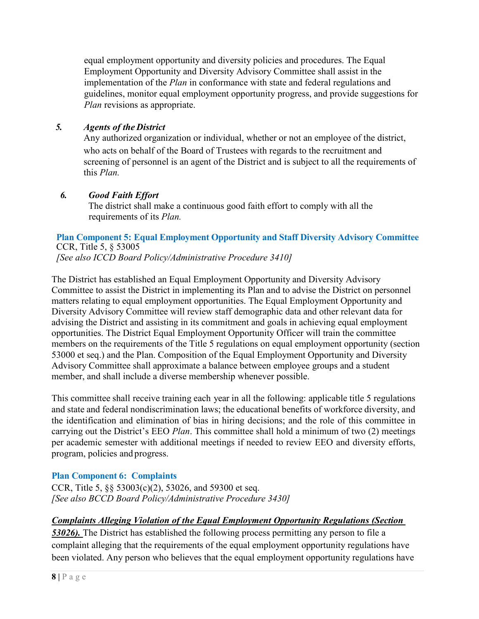equal employment opportunity and diversity policies and procedures. The Equal Employment Opportunity and Diversity Advisory Committee shall assist in the implementation of the *Plan* in conformance with state and federal regulations and guidelines, monitor equal employment opportunity progress, and provide suggestions for *Plan* revisions as appropriate.

# *5. Agents of the District*

Any authorized organization or individual, whether or not an employee of the district, who acts on behalf of the Board of Trustees with regards to the recruitment and screening of personnel is an agent of the District and is subject to all the requirements of this *Plan.*

#### *6. Good Faith Effort*

The district shall make a continuous good faith effort to comply with all the requirements of its *Plan.*

#### <span id="page-7-0"></span>**Plan Component 5: Equal Employment Opportunity and Staff Diversity Advisory Committee** CCR, Title 5, § 53005

*[See also ICCD Board Policy/Administrative Procedure 3410]*

The District has established an Equal Employment Opportunity and Diversity Advisory Committee to assist the District in implementing its Plan and to advise the District on personnel matters relating to equal employment opportunities. The Equal Employment Opportunity and Diversity Advisory Committee will review staff demographic data and other relevant data for advising the District and assisting in its commitment and goals in achieving equal employment opportunities. The District Equal Employment Opportunity Officer will train the committee members on the requirements of the Title 5 regulations on equal employment opportunity (section 53000 et seq.) and the Plan. Composition of the Equal Employment Opportunity and Diversity Advisory Committee shall approximate a balance between employee groups and a student member, and shall include a diverse membership whenever possible.

This committee shall receive training each year in all the following: applicable title 5 regulations and state and federal nondiscrimination laws; the educational benefits of workforce diversity, and the identification and elimination of bias in hiring decisions; and the role of this committee in carrying out the District's EEO *Plan*. This committee shall hold a minimum of two (2) meetings per academic semester with additional meetings if needed to review EEO and diversity efforts, program, policies and progress.

# <span id="page-7-1"></span>**Plan Component 6: Complaints**

CCR, Title 5, §§ 53003(c)(2), 53026, and 59300 et seq. *[See also BCCD Board Policy/Administrative Procedure 3430]*

#### *Complaints Alleging Violation of the Equal Employment Opportunity Regulations (Section*

*53026).* The District has established the following process permitting any person to file a complaint alleging that the requirements of the equal employment opportunity regulations have been violated. Any person who believes that the equal employment opportunity regulations have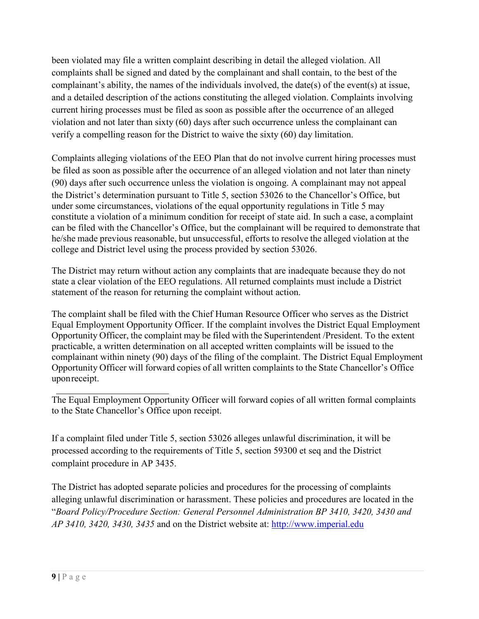been violated may file a written complaint describing in detail the alleged violation. All complaints shall be signed and dated by the complainant and shall contain, to the best of the complainant's ability, the names of the individuals involved, the date(s) of the event(s) at issue, and a detailed description of the actions constituting the alleged violation. Complaints involving current hiring processes must be filed as soon as possible after the occurrence of an alleged violation and not later than sixty (60) days after such occurrence unless the complainant can verify a compelling reason for the District to waive the sixty (60) day limitation.

Complaints alleging violations of the EEO Plan that do not involve current hiring processes must be filed as soon as possible after the occurrence of an alleged violation and not later than ninety (90) days after such occurrence unless the violation is ongoing. A complainant may not appeal the District's determination pursuant to Title 5, section 53026 to the Chancellor's Office, but under some circumstances, violations of the equal opportunity regulations in Title 5 may constitute a violation of a minimum condition for receipt of state aid. In such a case, a complaint can be filed with the Chancellor's Office, but the complainant will be required to demonstrate that he/she made previous reasonable, but unsuccessful, efforts to resolve the alleged violation at the college and District level using the process provided by section 53026.

The District may return without action any complaints that are inadequate because they do not state a clear violation of the EEO regulations. All returned complaints must include a District statement of the reason for returning the complaint without action.

The complaint shall be filed with the Chief Human Resource Officer who serves as the District Equal Employment Opportunity Officer. If the complaint involves the District Equal Employment Opportunity Officer, the complaint may be filed with the Superintendent /President. To the extent practicable, a written determination on all accepted written complaints will be issued to the complainant within ninety (90) days of the filing of the complaint. The District Equal Employment Opportunity Officer will forward copies of all written complaints to the State Chancellor's Office uponreceipt.

The Equal Employment Opportunity Officer will forward copies of all written formal complaints to the State Chancellor's Office upon receipt.

If a complaint filed under Title 5, section 53026 alleges unlawful discrimination, it will be processed according to the requirements of Title 5, section 59300 et seq and the District complaint procedure in AP 3435.

The District has adopted separate policies and procedures for the processing of complaints alleging unlawful discrimination or harassment. These policies and procedures are located in the "*Board Policy/Procedure Section: General Personnel Administration BP 3410, 3420, 3430 and AP 3410, 3420, 3430, 3435* and on the District website at: [http://www.imperial.edu](http://www.imperial.edu/)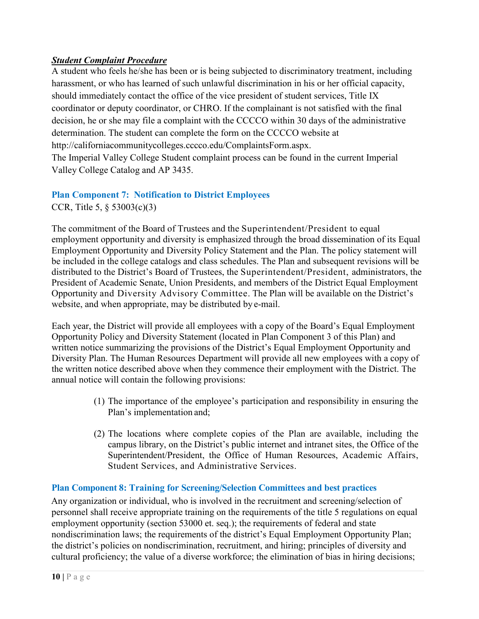# *Student Complaint Procedure*

A student who feels he/she has been or is being subjected to discriminatory treatment, including harassment, or who has learned of such unlawful discrimination in his or her official capacity, should immediately contact the office of the vice president of student services, Title IX coordinator or deputy coordinator, or CHRO. If the complainant is not satisfied with the final decision, he or she may file a complaint with the CCCCO within 30 days of the administrative determination. The student can complete the form on the CCCCO website [at](http://californiacommunitycolleges.cccco.edu/ComplaintsForm.aspx)  [http://californiacommunitycolleges.cccco.edu/ComplaintsForm.aspx.](http://californiacommunitycolleges.cccco.edu/ComplaintsForm.aspx) The Imperial Valley College Student complaint process can be found in the current Imperial Valley College Catalog and AP 3435.

#### <span id="page-9-0"></span>**Plan Component 7: Notification to District Employees** CCR, Title 5, § 53003(c)(3)

The commitment of the Board of Trustees and the Superintendent/President to equal employment opportunity and diversity is emphasized through the broad dissemination of its Equal Employment Opportunity and Diversity Policy Statement and the Plan. The policy statement will be included in the college catalogs and class schedules. The Plan and subsequent revisions will be distributed to the District's Board of Trustees, the Superintendent/President, administrators, the President of Academic Senate, Union Presidents, and members of the District Equal Employment Opportunity and Diversity Advisory Committee. The Plan will be available on the District's website, and when appropriate, may be distributed by e-mail.

Each year, the District will provide all employees with a copy of the Board's Equal Employment Opportunity Policy and Diversity Statement (located in Plan Component 3 of this Plan) and written notice summarizing the provisions of the District's Equal Employment Opportunity and Diversity Plan. The Human Resources Department will provide all new employees with a copy of the written notice described above when they commence their employment with the District. The annual notice will contain the following provisions:

- (1) The importance of the employee's participation and responsibility in ensuring the Plan's implementation and;
- (2) The locations where complete copies of the Plan are available, including the campus library, on the District's public internet and intranet sites, the Office of the Superintendent/President, the Office of Human Resources, Academic Affairs, Student Services, and Administrative Services.

# <span id="page-9-1"></span>**Plan Component 8: Training for Screening/Selection Committees and best practices**

Any organization or individual, who is involved in the recruitment and screening/selection of personnel shall receive appropriate training on the requirements of the title 5 regulations on equal employment opportunity (section 53000 et. seq.); the requirements of federal and state nondiscrimination laws; the requirements of the district's Equal Employment Opportunity Plan; the district's policies on nondiscrimination, recruitment, and hiring; principles of diversity and cultural proficiency; the value of a diverse workforce; the elimination of bias in hiring decisions;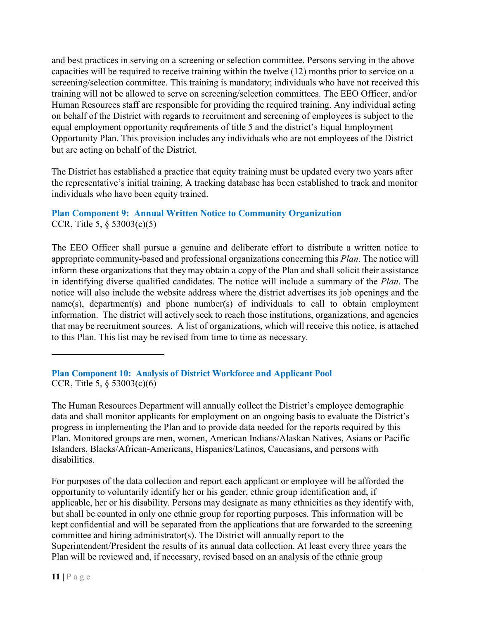equal employment opportunity req[uir](#page-10-1)ements of title 5 and the district's Equal Employment and best practices in serving on a screening or selection committee. Persons serving in the above capacities will be required to receive training within the twelve (12) months prior to service on a screening/selection committee. This training is mandatory; individuals who have not received this training will not be allowed to serve on screening/selection committees. The EEO Officer, and/or Human Resources staff are responsible for providing the required training. Any individual acting on behalf of the District with regards to recruitment and screening of employees is subject to the Opportunity Plan. This provision includes any individuals who are not employees of the District but are acting on behalf of the District.

The District has established a practice that equity training must be updated every two years after the representative's initial training. A tracking database has been established to track and monitor individuals who have been equity trained.

<span id="page-10-0"></span>**Plan Component 9: Annual Written Notice to Community Organization** CCR, Title 5, § 53003(c)(5)

The EEO Officer shall pursue a genuine and deliberate effort to distribute a written notice to appropriate community-based and professional organizations concerning this *Plan*. The notice will inform these organizations that they may obtain a copy of the Plan and shall solicit their assistance in identifying diverse qualified candidates. The notice will include a summary of the *Plan*. The notice will also include the website address where the district advertises its job openings and the name(s), department(s) and phone number(s) of individuals to call to obtain employment information. The district will actively seek to reach those institutions, organizations, and agencies that may be recruitment sources. A list of organizations, which will receive this notice, is attached to this Plan. This list may be revised from time to time as necessary.

<span id="page-10-1"></span>**Plan Component 10: Analysis of District Workforce and Applicant Pool**  CCR, Title 5, § 53003(c)(6)

The Human Resources Department will annually collect the District's employee demographic data and shall monitor applicants for employment on an ongoing basis to evaluate the District's progress in implementing the Plan and to provide data needed for the reports required by this Plan. Monitored groups are men, women, American Indians/Alaskan Natives, Asians or Pacific Islanders, Blacks/African-Americans, Hispanics/Latinos, Caucasians, and persons with disabilities.

For purposes of the data collection and report each applicant or employee will be afforded the opportunity to voluntarily identify her or his gender, ethnic group identification and, if applicable, her or his disability. Persons may designate as many ethnicities as they identify with, but shall be counted in only one ethnic group for reporting purposes. This information will be kept confidential and will be separated from the applications that are forwarded to the screening committee and hiring administrator(s). The District will annually report to the Superintendent/President the results of its annual data collection. At least every three years the Plan will be reviewed and, if necessary, revised based on an analysis of the ethnic group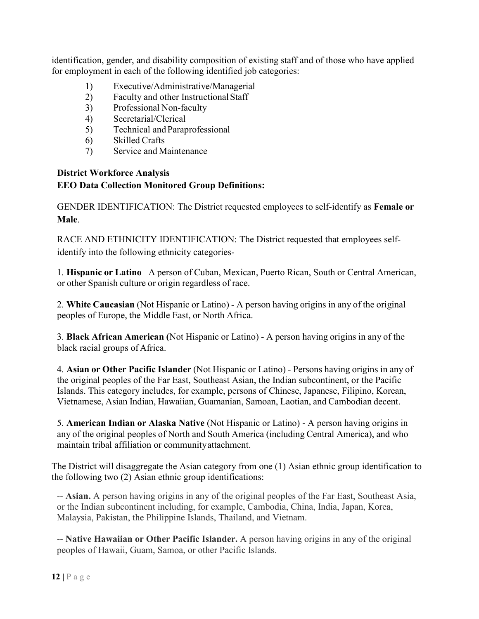identification, gender, and disability composition of existing staff and of those who have applied for employment in each of the following identified job categories:

- 1) Executive/Administrative/Managerial
- 2) Faculty and other InstructionalStaff
- 3) Professional Non-faculty
- 4) Secretarial/Clerical
- 5) Technical and Paraprofessional
- 6) Skilled Crafts
- 7) Service and Maintenance

# **District Workforce Analysis EEO Data Collection Monitored Group Definitions:**

GENDER IDENTIFICATION: The District requested employees to self-identify as **Female or Male**.

RACE AND ETHNICITY IDENTIFICATION: The District requested that employees selfidentify into the following ethnicity categories-

1. **Hispanic or Latino** –A person of Cuban, Mexican, Puerto Rican, South or Central American, or other Spanish culture or origin regardless of race.

2. **White Caucasian** (Not Hispanic or Latino) - A person having origins in any of the original peoples of Europe, the Middle East, or North Africa.

3. **Black African American (**Not Hispanic or Latino) - A person having origins in any of the black racial groups of Africa.

4. **Asian or Other Pacific Islander** (Not Hispanic or Latino) - Persons having origins in any of the original peoples of the Far East, Southeast Asian, the Indian subcontinent, or the Pacific Islands. This category includes, for example, persons of Chinese, Japanese, Filipino, Korean, Vietnamese, Asian Indian, Hawaiian, Guamanian, Samoan, Laotian, and Cambodian decent.

5. **American Indian or Alaska Native** (Not Hispanic or Latino) - A person having origins in any of the original peoples of North and South America (including Central America), and who maintain tribal affiliation or communityattachment.

The District will disaggregate the Asian category from one (1) Asian ethnic group identification to the following two (2) Asian ethnic group identifications:

-- **Asian.** A person having origins in any of the original peoples of the Far East, Southeast Asia, or the Indian subcontinent including, for example, Cambodia, China, India, Japan, Korea, Malaysia, Pakistan, the Philippine Islands, Thailand, and Vietnam.

-- **Native Hawaiian or Other Pacific Islander.** A person having origins in any of the original peoples of Hawaii, Guam, Samoa, or other Pacific Islands.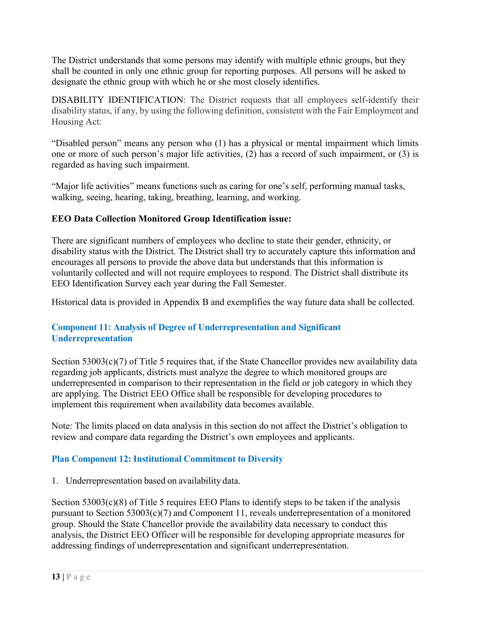The District understands that some persons may identify with multiple ethnic groups, but they shall be counted in only one ethnic group for reporting purposes. All persons will be asked to designate the ethnic group with which he or she most closely identifies.

DISABILITY IDENTIFICATION: The District requests that all employees self-identify their disability status, if any, by using the following definition, consistent with the Fair Employment and Housing Act:

"Disabled person" means any person who (1) has a physical or mental impairment which limits one or more of such person's major life activities, (2) has a record of such impairment, or (3) is regarded as having such impairment.

"Major life activities" means functions such as caring for one's self, performing manual tasks, walking, seeing, hearing, taking, breathing, learning, and working.

# **EEO Data Collection Monitored Group Identification issue:**

There are significant numbers of employees who decline to state their gender, ethnicity, or disability status with the District. The District shall try to accurately capture this information and encourages all persons to provide the above data but understands that this information is voluntarily collected and will not require employees to respond. The District shall distribute its EEO Identification Survey each year during the Fall Semester.

Historical data is provided in Appendix B and exemplifies the way future data shall be collected.

# **Component 11: Analysis of Degree of Underrepresentation and Significant Underrepresentation**

Section 53003(c)(7) of Title 5 requires that, if the State Chancellor provides new availability data regarding job applicants, districts must analyze the degree to which monitored groups are underrepresented in comparison to their representation in the field or job category in which they are applying. The District EEO Office shall be responsible for developing procedures to implement this requirement when availability data becomes available.

Note: The limits placed on data analysis in this section do not affect the District's obligation to review and compare data regarding the District's own employees and applicants.

#### **Plan Component 12: Institutional Commitment to Diversity**

1. Underrepresentation based on availability data.

Section 53003(c)(8) of Title 5 requires EEO Plans to identify steps to be taken if the analysis pursuant to Section 53003(c)(7) and Component 11, reveals underrepresentation of a monitored group. Should the State Chancellor provide the availability data necessary to conduct this analysis, the District EEO Officer will be responsible for developing appropriate measures for addressing findings of underrepresentation and significant underrepresentation.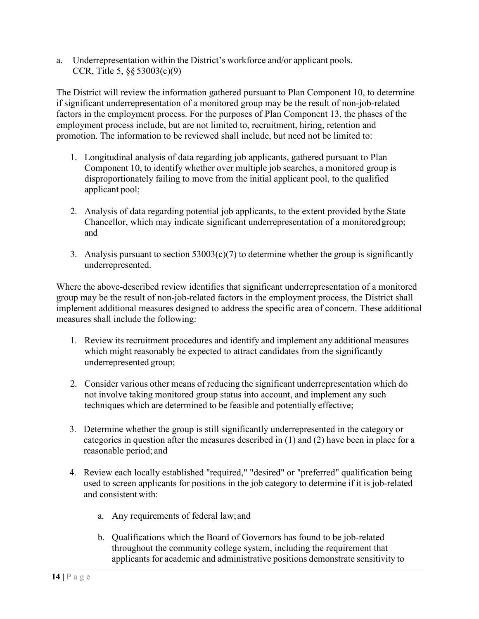a. Underrepresentation within the District's workforce and/or applicant pools. CCR, Title 5, §§ 53003(c)(9)

The District will review the information gathered pursuant to Plan Component 10, to determine if significant underrepresentation of a monitored group may be the result of non-job-related factors in the employment process. For the purposes of Plan Component 13, the phases of the employment process include, but are not limited to, recruitment, hiring, retention and promotion. The information to be reviewed shall include, but need not be limited to:

- 1. Longitudinal analysis of data regarding job applicants, gathered pursuant to Plan Component 10, to identify whether over multiple job searches, a monitored group is disproportionately failing to move from the initial applicant pool, to the qualified applicant pool;
- 2. Analysis of data regarding potential job applicants, to the extent provided bythe State Chancellor, which may indicate significant underrepresentation of a monitoredgroup; and
- 3. Analysis pursuant to section  $53003(c)(7)$  to determine whether the group is significantly underrepresented.

Where the above-described review identifies that significant underrepresentation of a monitored group may be the result of non-job-related factors in the employment process, the District shall implement additional measures designed to address the specific area of concern. These additional measures shall include the following:

- 1. Review its recruitment procedures and identify and implement any additional measures which might reasonably be expected to attract candidates from the significantly underrepresented group;
- 2. Consider various other means of reducing the significant underrepresentation which do not involve taking monitored group status into account, and implement any such techniques which are determined to be feasible and potentially effective;
- 3. Determine whether the group is still significantly underrepresented in the category or categories in question after the measures described in (1) and (2) have been in place for a reasonable period; and
- 4. Review each locally established "required," "desired" or "preferred" qualification being used to screen applicants for positions in the job category to determine if it is job-related and consistent with:
	- a. Any requirements of federal law;and
	- b. Qualifications which the Board of Governors has found to be job-related throughout the community college system, including the requirement that applicants for academic and administrative positions demonstrate sensitivity to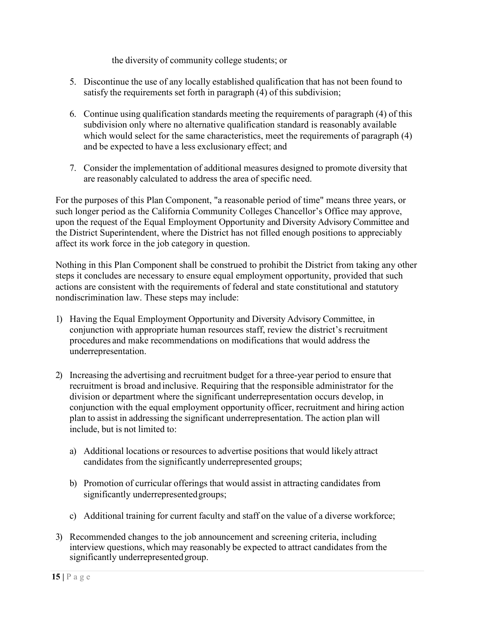the diversity of community college students; or

- 5. Discontinue the use of any locally established qualification that has not been found to satisfy the requirements set forth in paragraph (4) of this subdivision;
- 6. Continue using qualification standards meeting the requirements of paragraph (4) of this subdivision only where no alternative qualification standard is reasonably available which would select for the same characteristics, meet the requirements of paragraph (4) and be expected to have a less exclusionary effect; and
- 7. Consider the implementation of additional measures designed to promote diversity that are reasonably calculated to address the area of specific need.

For the purposes of this Plan Component, "a reasonable period of time" means three years, or such longer period as the California Community Colleges Chancellor's Office may approve, upon the request of the Equal Employment Opportunity and Diversity Advisory Committee and the District Superintendent, where the District has not filled enough positions to appreciably affect its work force in the job category in question.

Nothing in this Plan Component shall be construed to prohibit the District from taking any other steps it concludes are necessary to ensure equal employment opportunity, provided that such actions are consistent with the requirements of federal and state constitutional and statutory nondiscrimination law. These steps may include:

- 1) Having the Equal Employment Opportunity and Diversity Advisory Committee, in conjunction with appropriate human resources staff, review the district's recruitment procedures and make recommendations on modifications that would address the underrepresentation.
- 2) Increasing the advertising and recruitment budget for a three-year period to ensure that recruitment is broad and inclusive. Requiring that the responsible administrator for the division or department where the significant underrepresentation occurs develop, in conjunction with the equal employment opportunity officer, recruitment and hiring action plan to assist in addressing the significant underrepresentation. The action plan will include, but is not limited to:
	- a) Additional locations or resources to advertise positions that would likely attract candidates from the significantly underrepresented groups;
	- b) Promotion of curricular offerings that would assist in attracting candidates from significantly underrepresented groups;
	- c) Additional training for current faculty and staff on the value of a diverse workforce;
- 3) Recommended changes to the job announcement and screening criteria, including interview questions, which may reasonably be expected to attract candidates from the significantly underrepresented group.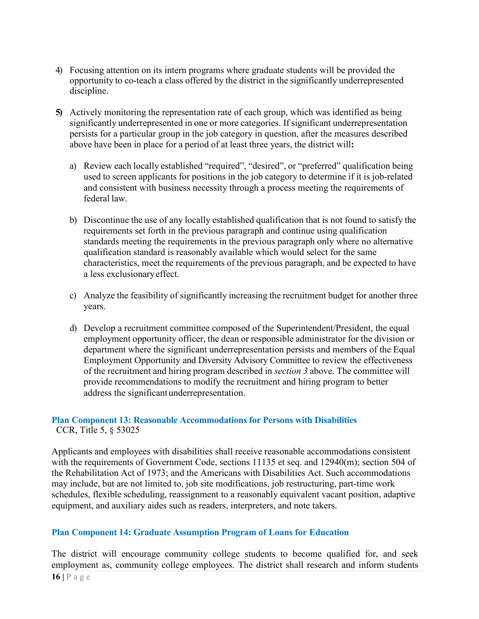- 4) Focusing attention on its intern programs where graduate students will be provided the opportunity to co-teach a class offered by the district in the significantly underrepresented discipline.
- **5)** Actively monitoring the representation rate of each group, which was identified as being significantly underrepresented in one or more categories. If significant underrepresentation persists for a particular group in the job category in question, after the measures described above have been in place for a period of at least three years, the district will**:**
	- a) Review each locally established "required", "desired", or "preferred" qualification being used to screen applicants for positions in the job category to determine if it is job-related and consistent with business necessity through a process meeting the requirements of federal law.
	- b) Discontinue the use of any locally established qualification that is not found to satisfy the requirements set forth in the previous paragraph and continue using qualification standards meeting the requirements in the previous paragraph only where no alternative qualification standard is reasonably available which would select for the same characteristics, meet the requirements of the previous paragraph, and be expected to have a less exclusionaryeffect.
	- c) Analyze the feasibility of significantly increasing the recruitment budget for another three years.
	- d) Develop a recruitment committee composed of the Superintendent/President, the equal employment opportunity officer, the dean or responsible administrator for the division or department where the significant underrepresentation persists and members of the Equal Employment Opportunity and Diversity Advisory Committee to review the effectiveness of the recruitment and hiring program described in *section 3* above. The committee will provide recommendations to modify the recruitment and hiring program to better address the significantunderrepresentation.

#### **Plan Component 13: Reasonable Accommodations for Persons with Disabilities** CCR, Title 5, § 53025

Applicants and employees with disabilities shall receive reasonable accommodations consistent with the requirements of Government Code, sections 11135 et seq. and 12940(m); section 504 of the Rehabilitation Act of 1973; and the Americans with Disabilities Act. Such accommodations may include, but are not limited to, job site modifications, job restructuring, part-time work schedules, flexible scheduling, reassignment to a reasonably equivalent vacant position, adaptive equipment, and auxiliary aides such as readers, interpreters, and note takers.

#### **Plan Component 14: Graduate Assumption Program of Loans for Education**

**16 |** Page The district will encourage community college students to become qualified for, and seek employment as, community college employees. The district shall research and inform students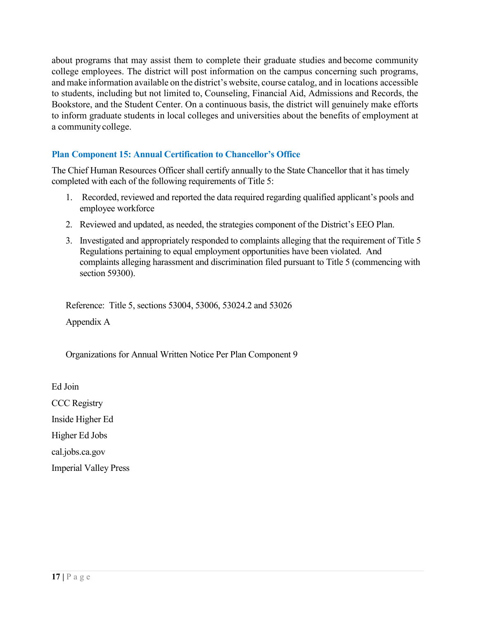about programs that may assist them to complete their graduate studies and become community college employees. The district will post information on the campus concerning such programs, and make information available on the district's website, course catalog, and in locations accessible to students, including but not limited to, Counseling, Financial Aid, Admissions and Records, the Bookstore, and the Student Center. On a continuous basis, the district will genuinely make efforts to inform graduate students in local colleges and universities about the benefits of employment at a communitycollege.

# **Plan Component 15: Annual Certification to Chancellor's Office**

The Chief Human Resources Officer shall certify annually to the State Chancellor that it has timely completed with each of the following requirements of Title 5:

- 1. Recorded, reviewed and reported the data required regarding qualified applicant's pools and employee workforce
- 2. Reviewed and updated, as needed, the strategies component of the District's EEO Plan.
- 3. Investigated and appropriately responded to complaints alleging that the requirement of Title 5 Regulations pertaining to equal employment opportunities have been violated. And complaints alleging harassment and discrimination filed pursuant to Title 5 (commencing with section 59300).

Reference: Title 5, sections 53004, 53006, 53024.2 and 53026 Appendix A

Organizations for Annual Written Notice Per Plan Component 9

Ed Join

CCC Registry

Inside Higher Ed

Higher Ed Jobs

cal.jobs.ca.gov

Imperial Valley Press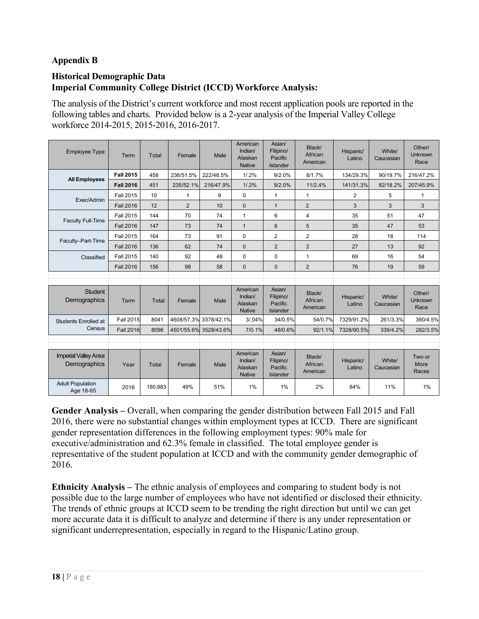# **Appendix B**

#### **Historical Demographic Data Imperial Community College District (ICCD) Workforce Analysis:**

The analysis of the District's current workforce and most recent application pools are reported in the following tables and charts. Provided below is a 2-year analysis of the Imperial Valley College workforce 2014-2015, 2015-2016, 2016-2017.

| <b>Employee Type</b>                        | Term             | Total        | Female       | Male                  | American<br>Indian/<br>Alaskan<br><b>Native</b> | Asian/<br>Filipino/<br>Pacific<br><b>Islander</b> | Black/<br>African<br>American | Hispanic/<br>Latino | White/<br>Caucasian | Other/<br><b>Unknown</b><br>Race |
|---------------------------------------------|------------------|--------------|--------------|-----------------------|-------------------------------------------------|---------------------------------------------------|-------------------------------|---------------------|---------------------|----------------------------------|
|                                             | <b>Fall 2015</b> | 458          | 236/51.5%    | 222/48.5%             | $1/0.2\%$                                       | 9/2.0%                                            | 8/1.7%                        | 134/29.3%           | 90/19.7%            | 216/47.2%                        |
| <b>All Employees</b>                        | <b>Fall 2016</b> | 451          | 235/52.1%    | 216/47.9%             | $1/0.2\%$                                       | 9/2.0%                                            | 11/2.4%                       | 141/31.3%           | 82/18.2%            | 207/45.9%                        |
|                                             | <b>Fall 2015</b> | 10           | $\mathbf{1}$ | 9                     | $\mathbf 0$                                     | $\mathbf{1}$                                      | 1                             | 2                   | 5                   | 1                                |
| Exec/Admin                                  | <b>Fall 2016</b> | 12           | 2            | 10                    | $\mathbf{0}$                                    | $\mathbf{1}$                                      | $\overline{2}$                | 3                   | 3                   | 3                                |
|                                             | <b>Fall 2015</b> | 144          | 70           | 74                    | 1                                               | 6                                                 | 4                             | 35                  | 51                  | 47                               |
| <b>Faculty Full-Time</b>                    | <b>Fall 2016</b> | 147          | 73           | 74                    | $\mathbf{1}$                                    | 6                                                 | 5                             | 35                  | 47                  | 53                               |
|                                             | <b>Fall 2015</b> | 164          | 73           | 91                    | $\mathbf 0$                                     | $\overline{2}$                                    | $\overline{2}$                | 28                  | 18                  | 114                              |
| Faculty-Part-Time                           | <b>Fall 2016</b> | 136          | 62           | 74                    | $\mathbf{0}$                                    | $\overline{2}$                                    | $\overline{2}$                | 27                  | 13                  | 92                               |
| Classified                                  | <b>Fall 2015</b> | 140          | 92           | 48                    | $\mathbf 0$                                     | $\mathbf{0}$                                      | 1                             | 69                  | 16                  | 54                               |
|                                             | <b>Fall 2016</b> | 156          | 98           | 58                    | $\mathbf{0}$                                    | $\mathbf{0}$                                      | $\overline{2}$                | 76                  | 19                  | 59                               |
|                                             |                  |              |              |                       |                                                 |                                                   |                               |                     |                     |                                  |
| <b>Student</b><br>Demographics              | Term             | <b>Total</b> | Female       | Male                  | American<br>Indian/<br>Alaskan<br><b>Native</b> | Asian/<br>Filipino/<br>Pacific<br><b>Islander</b> | Black/<br>African<br>American | Hispanic/<br>Latino | White/<br>Caucasian | Other/<br>Unknown<br>Race        |
| <b>Students Enrolled at</b>                 | <b>Fall 2015</b> | 8041         |              | 4608/57.3% 3378/42.1% | 3/0.04%                                         | 34/0.5%                                           | 54/0.7%                       | 7329/91.2%          | 261/3.3%            | 360/4.5%                         |
| Census                                      | <b>Fall 2016</b> | 8096         |              | 4501/55.6% 3528/43.6% | 7/0.1%                                          | 48/0.6%                                           | 92/1.1%                       | 7328/90.5%          | 339/4.2%            | 282/3.5%                         |
|                                             |                  |              |              |                       |                                                 |                                                   |                               |                     |                     |                                  |
| <b>Imperial Valley Area</b><br>Demographics | Year             | Total        | Female       | Male                  | American<br>Indian/<br>Alaskan<br><b>Native</b> | Asian/<br>Filipino/<br>Pacific<br>Islander        | Black/<br>African<br>American | Hispanic/<br>Latino | White/<br>Caucasian | Two or<br>More<br>Races          |
| <b>Adult Population</b><br>Age 18-65        | 2016             | 180,883      | 49%          | 51%                   | 1%                                              | 1%                                                | 2%                            | 84%                 | 11%                 | $1\%$                            |

**Gender Analysis –** Overall, when comparing the gender distribution between Fall 2015 and Fall 2016, there were no substantial changes within employment types at ICCD. There are significant gender representation differences in the following employment types: 90% male for executive/administration and 62.3% female in classified. The total employee gender is representative of the student population at ICCD and with the community gender demographic of 2016.

**Ethnicity Analysis –** The ethnic analysis of employees and comparing to student body is not possible due to the large number of employees who have not identified or disclosed their ethnicity. The trends of ethnic groups at ICCD seem to be trending the right direction but until we can get more accurate data it is difficult to analyze and determine if there is any under representation or significant underrepresentation, especially in regard to the Hispanic/Latino group.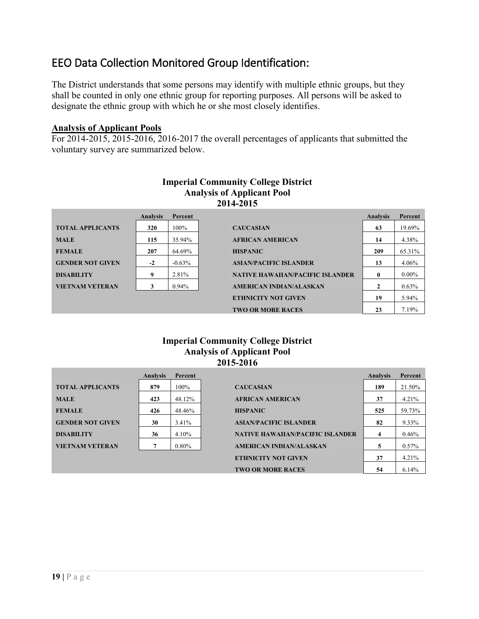# EEO Data Collection Monitored Group Identification:

The District understands that some persons may identify with multiple ethnic groups, but they shall be counted in only one ethnic group for reporting purposes. All persons will be asked to designate the ethnic group with which he or she most closely identifies.

#### **Analysis of Applicant Pools**

For 2014-2015, 2015-2016, 2016-2017 the overall percentages of applicants that submitted the voluntary survey are summarized below.

|                         |                 |          | 2014-2015                               |                 |          |
|-------------------------|-----------------|----------|-----------------------------------------|-----------------|----------|
|                         | <b>Analysis</b> | Percent  |                                         | <b>Analysis</b> | Percent  |
| <b>TOTAL APPLICANTS</b> | 320             | 100%     | <b>CAUCASIAN</b>                        | 63              | 19.69%   |
| <b>MALE</b>             | 115             | 35.94%   | <b>AFRICAN AMERICAN</b>                 | 14              | 4.38%    |
| <b>FEMALE</b>           | 207             | 64.69%   | <b>HISPANIC</b>                         | 209             | 65.31%   |
| <b>GENDER NOT GIVEN</b> | $-2$            | $-0.63%$ | <b>ASIAN/PACIFIC ISLANDER</b>           | 13              | 4.06%    |
| <b>DISABILITY</b>       | 9               | 2.81%    | <b>NATIVE HAWAIIAN/PACIFIC ISLANDER</b> | 0               | $0.00\%$ |
| <b>VIETNAM VETERAN</b>  |                 | $0.94\%$ | <b>AMERICAN INDIAN/ALASKAN</b>          | $\mathbf{2}$    | 0.63%    |
|                         |                 |          | <b>ETHNICITY NOT GIVEN</b>              | 19              | 5.94%    |
|                         |                 |          | <b>TWO OR MORE RACES</b>                | 23              | 7.19%    |

# **Imperial Community College District Analysis of Applicant Pool**

#### **Imperial Community College District Analysis of Applicant Pool 2015-2016**

|                         | <b>Analysis</b> | <b>Percent</b> |                                         | <b>Analysis</b> | Percent |
|-------------------------|-----------------|----------------|-----------------------------------------|-----------------|---------|
| <b>TOTAL APPLICANTS</b> | 879             | $100\%$        | <b>CAUCASIAN</b>                        | 189             | 21.50%  |
| <b>MALE</b>             | 423             | 48.12%         | <b>AFRICAN AMERICAN</b>                 | 37              | 4.21%   |
| <b>FEMALE</b>           | 426             | 48.46%         | <b>HISPANIC</b>                         | 525             | 59.73%  |
| <b>GENDER NOT GIVEN</b> | 30              | $3.41\%$       | <b>ASIAN/PACIFIC ISLANDER</b>           | 82              | 9.33%   |
| <b>DISABILITY</b>       | 36              | 4.10%          | <b>NATIVE HAWAIIAN/PACIFIC ISLANDER</b> | 4               | 0.46%   |
| <b>VIETNAM VETERAN</b>  | 7               | $0.80\%$       | <b>AMERICAN INDIAN/ALASKAN</b>          |                 | 0.57%   |
|                         |                 |                | <b>ETHNICITY NOT GIVEN</b>              | 37              | 4.21%   |
|                         |                 |                | <b>TWO OR MORE RACES</b>                | 54              | 6.14%   |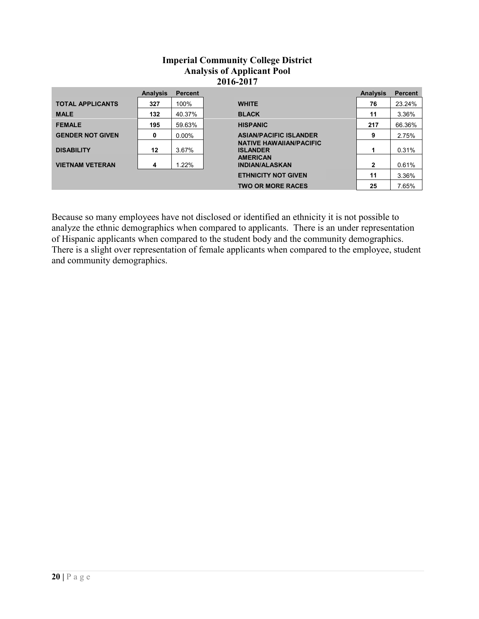#### **Imperial Community College District Analysis of Applicant Pool 2016-2017**

|                         | <b>Analysis</b> | <b>Percent</b> |                                                   | <b>Analysis</b> | <b>Percent</b> |
|-------------------------|-----------------|----------------|---------------------------------------------------|-----------------|----------------|
| <b>TOTAL APPLICANTS</b> | 327             | 100%           | <b>WHITE</b>                                      | 76              | 23.24%         |
| <b>MALE</b>             | 132             | 40.37%         | <b>BLACK</b>                                      | 11              | 3.36%          |
| <b>FEMALE</b>           | 195             | 59.63%         | <b>HISPANIC</b>                                   | 217             | 66.36%         |
| <b>GENDER NOT GIVEN</b> | 0               | $0.00\%$       | <b>ASIAN/PACIFIC ISLANDER</b>                     | 9               | 2.75%          |
| <b>DISABILITY</b>       | 12              | 3.67%          | <b>NATIVE HAWAIIAN/PACIFIC</b><br><b>ISLANDER</b> | 1               | 0.31%          |
| <b>VIETNAM VETERAN</b>  | 4               | 1.22%          | <b>AMERICAN</b><br><b>INDIAN/ALASKAN</b>          | 2               | 0.61%          |
|                         |                 |                | <b>ETHNICITY NOT GIVEN</b>                        | 11              | 3.36%          |
|                         |                 |                | <b>TWO OR MORE RACES</b>                          | 25              | 7.65%          |

Because so many employees have not disclosed or identified an ethnicity it is not possible to analyze the ethnic demographics when compared to applicants. There is an under representation of Hispanic applicants when compared to the student body and the community demographics. There is a slight over representation of female applicants when compared to the employee, student and community demographics.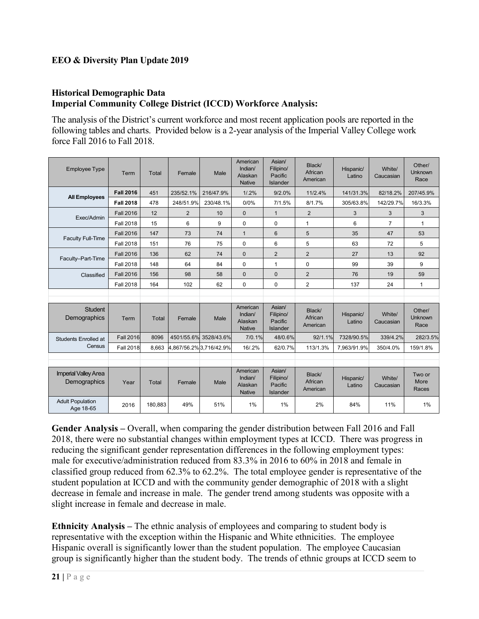# **EEO & Diversity Plan Update 2019**

#### **Historical Demographic Data Imperial Community College District (ICCD) Workforce Analysis:**

The analysis of the District's current workforce and most recent application pools are reported in the following tables and charts. Provided below is a 2-year analysis of the Imperial Valley College work force Fall 2016 to Fall 2018.

| <b>Employee Type</b>                        | Term             | <b>Total</b> | Female                  | Male                  | American<br>Indian/<br>Alaskan<br><b>Native</b> | Asian/<br>Filipino/<br>Pacific<br>Islander        | Black/<br>African<br>American | Hispanic/<br>Latino | White/<br>Caucasian | Other/<br><b>Unknown</b><br>Race |
|---------------------------------------------|------------------|--------------|-------------------------|-----------------------|-------------------------------------------------|---------------------------------------------------|-------------------------------|---------------------|---------------------|----------------------------------|
|                                             | <b>Fall 2016</b> | 451          | 235/52.1%               | 216/47.9%             | $1/0.2\%$                                       | 9/2.0%                                            | 11/2.4%                       | 141/31.3%           | 82/18.2%            | 207/45.9%                        |
| <b>All Employees</b>                        | <b>Fall 2018</b> | 478          | 248/51.9%               | 230/48.1%             | 0/0%                                            | 7/1.5%                                            | 8/1.7%                        | 305/63.8%           | 142/29.7%           | 16/3.3%                          |
|                                             | <b>Fall 2016</b> | 12           | 2                       | 10                    | $\Omega$                                        | $\mathbf{1}$                                      | $\overline{2}$                | 3                   | 3                   | 3                                |
| Exec/Admin                                  | <b>Fall 2018</b> | 15           | 6                       | 9                     | $\Omega$                                        | $\mathbf 0$                                       | 1                             | 6                   | $\overline{7}$      | $\mathbf{1}$                     |
|                                             | <b>Fall 2016</b> | 147          | 73                      | 74                    | $\mathbf{1}$                                    | 6                                                 | 5                             | 35                  | 47                  | 53                               |
| <b>Faculty Full-Time</b>                    | <b>Fall 2018</b> | 151          | 76                      | 75                    | $\Omega$                                        | 6                                                 | 5                             | 63                  | 72                  | 5                                |
|                                             | <b>Fall 2016</b> | 136          | 62                      | 74                    | $\Omega$                                        | $\overline{2}$                                    | $\overline{2}$                | 27                  | 13                  | 92                               |
| Faculty-Part-Time                           | <b>Fall 2018</b> | 148          | 64                      | 84                    | $\Omega$                                        | $\mathbf{1}$                                      | $\Omega$                      | 99                  | 39                  | 9                                |
| Classified                                  | <b>Fall 2016</b> | 156          | 98                      | 58                    | $\Omega$                                        | $\Omega$                                          | $\overline{2}$                | 76                  | 19                  | 59                               |
|                                             | <b>Fall 2018</b> | 164          | 102                     | 62                    | $\Omega$                                        | $\Omega$                                          | 2                             | 137                 | 24                  | $\mathbf{1}$                     |
|                                             |                  |              |                         |                       |                                                 |                                                   |                               |                     |                     |                                  |
| <b>Student</b><br>Demographics              | Term             | Total        | Female                  | Male                  | American<br>Indian/<br>Alaskan<br><b>Native</b> | Asian/<br>Filipino/<br>Pacific<br><b>Islander</b> | Black/<br>African<br>American | Hispanic/<br>Latino | White/<br>Caucasian | Other/<br><b>Unknown</b><br>Race |
| Students Enrolled at                        | <b>Fall 2016</b> | 8096         |                         | 4501/55.6% 3528/43.6% | 7/0.1%                                          | 48/0.6%                                           | 92/1.1%                       | 7328/90.5%          | 339/4.2%            | 282/3.5%                         |
| Census                                      | <b>Fall 2018</b> | 8.663        | 4,867/56.2% 3,716/42.9% |                       | 16/.2%                                          | 62/0.7%                                           | 113/1.3%                      | 7,963/91.9%         | 350/4.0%            | 159/1.8%                         |
|                                             |                  |              |                         |                       |                                                 |                                                   |                               |                     |                     |                                  |
| <b>Imperial Valley Area</b><br>Demographics | Year             | Total        | Female                  | Male                  | American<br>Indian/<br>Alaskan<br><b>Native</b> | Asian/<br>Filipino/<br>Pacific<br>Islander        | Black/<br>African<br>American | Hispanic/<br>Latino | White/<br>Caucasian | Two or<br>More<br>Races          |
| <b>Adult Population</b><br>Age 18-65        | 2016             | 180,883      | 49%                     | 51%                   | 1%                                              | 1%                                                | 2%                            | 84%                 | 11%                 | 1%                               |

**Gender Analysis –** Overall, when comparing the gender distribution between Fall 2016 and Fall 2018, there were no substantial changes within employment types at ICCD. There was progress in reducing the significant gender representation differences in the following employment types: male for executive/administration reduced from 83.3% in 2016 to 60% in 2018 and female in classified group reduced from 62.3% to 62.2%. The total employee gender is representative of the student population at ICCD and with the community gender demographic of 2018 with a slight decrease in female and increase in male. The gender trend among students was opposite with a slight increase in female and decrease in male.

**Ethnicity Analysis –** The ethnic analysis of employees and comparing to student body is representative with the exception within the Hispanic and White ethnicities. The employee Hispanic overall is significantly lower than the student population. The employee Caucasian group is significantly higher than the student body. The trends of ethnic groups at ICCD seem to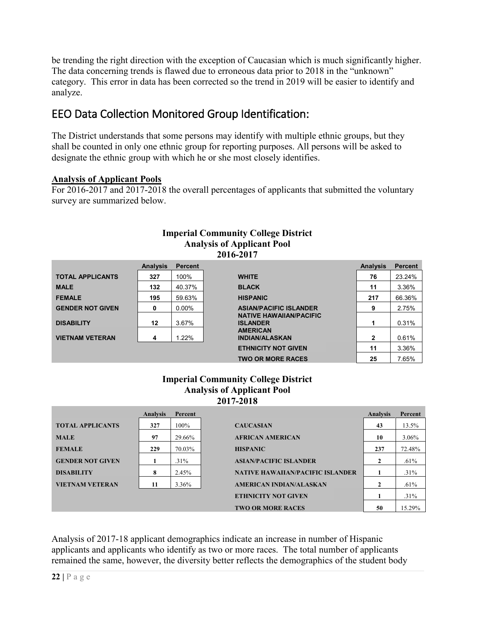be trending the right direction with the exception of Caucasian which is much significantly higher. The data concerning trends is flawed due to erroneous data prior to 2018 in the "unknown" category. This error in data has been corrected so the trend in 2019 will be easier to identify and analyze.

# EEO Data Collection Monitored Group Identification:

The District understands that some persons may identify with multiple ethnic groups, but they shall be counted in only one ethnic group for reporting purposes. All persons will be asked to designate the ethnic group with which he or she most closely identifies.

# **Analysis of Applicant Pools**

For 2016-2017 and 2017-2018 the overall percentages of applicants that submitted the voluntary survey are summarized below.

|                         | <b>Imperial Community College District</b> |                |                                                   |                 |                |  |
|-------------------------|--------------------------------------------|----------------|---------------------------------------------------|-----------------|----------------|--|
|                         | <b>Analysis of Applicant Pool</b>          |                |                                                   |                 |                |  |
|                         |                                            |                | 2016-2017                                         |                 |                |  |
|                         | <b>Analysis</b>                            | <b>Percent</b> |                                                   | <b>Analysis</b> | <b>Percent</b> |  |
| <b>TOTAL APPLICANTS</b> | 327                                        | 100%           | <b>WHITE</b>                                      | 76              | 23.24%         |  |
| <b>MALE</b>             | 132                                        | 40.37%         | <b>BLACK</b>                                      | 11              | 3.36%          |  |
| <b>FEMALE</b>           | 195                                        | 59.63%         | <b>HISPANIC</b>                                   | 217             | 66.36%         |  |
| <b>GENDER NOT GIVEN</b> | 0                                          | $0.00\%$       | <b>ASIAN/PACIFIC ISLANDER</b>                     | 9               | 2.75%          |  |
| <b>DISABILITY</b>       | 12                                         | 3.67%          | <b>NATIVE HAWAIIAN/PACIFIC</b><br><b>ISLANDER</b> | 1               | 0.31%          |  |
| <b>VIETNAM VETERAN</b>  | 4                                          | 1.22%          | <b>AMERICAN</b><br><b>INDIAN/ALASKAN</b>          | 2               | 0.61%          |  |
|                         |                                            |                | <b>ETHNICITY NOT GIVEN</b>                        | 11              | 3.36%          |  |
|                         |                                            |                | <b>TWO OR MORE RACES</b>                          | 25              | 7.65%          |  |

# **Imperial Community College District**

#### **Imperial Community College District Analysis of Applicant Pool 2017-2018**

|                         | <b>Analysis</b> | Percent |                                         | <b>Analysis</b> | Percent |
|-------------------------|-----------------|---------|-----------------------------------------|-----------------|---------|
| <b>TOTAL APPLICANTS</b> | 327             | 100%    | <b>CAUCASIAN</b>                        | 43              | 13.5%   |
| <b>MALE</b>             | 97              | 29.66%  | <b>AFRICAN AMERICAN</b>                 | 10              | 3.06%   |
| <b>FEMALE</b>           | 229             | 70.03%  | <b>HISPANIC</b>                         | 237             | 72.48%  |
| <b>GENDER NOT GIVEN</b> |                 | $.31\%$ | <b>ASIAN/PACIFIC ISLANDER</b>           | 2               | .61%    |
| <b>DISABILITY</b>       | 8               | 2.45%   | <b>NATIVE HAWAIIAN/PACIFIC ISLANDER</b> |                 | $.31\%$ |
| <b>VIETNAM VETERAN</b>  | 11              | 3.36%   | <b>AMERICAN INDIAN/ALASKAN</b>          | 2               | .61%    |
|                         |                 |         | <b>ETHNICITY NOT GIVEN</b>              |                 | $.31\%$ |
|                         |                 |         | <b>TWO OR MORE RACES</b>                | 50              | 15.29%  |

Analysis of 2017-18 applicant demographics indicate an increase in number of Hispanic applicants and applicants who identify as two or more races. The total number of applicants remained the same, however, the diversity better reflects the demographics of the student body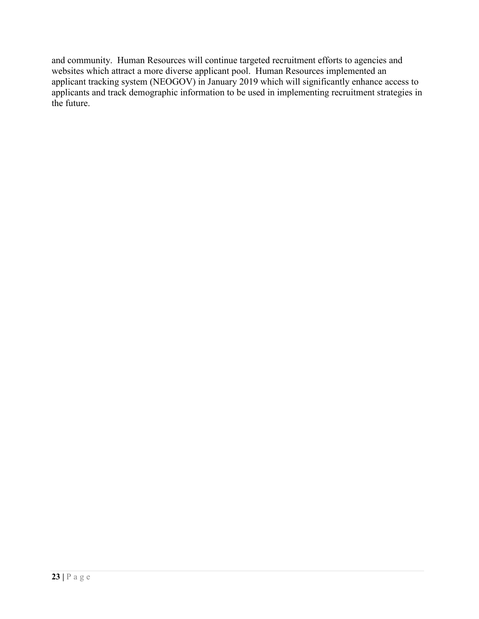and community. Human Resources will continue targeted recruitment efforts to agencies and websites which attract a more diverse applicant pool. Human Resources implemented an applicant tracking system (NEOGOV) in January 2019 which will significantly enhance access to applicants and track demographic information to be used in implementing recruitment strategies in the future.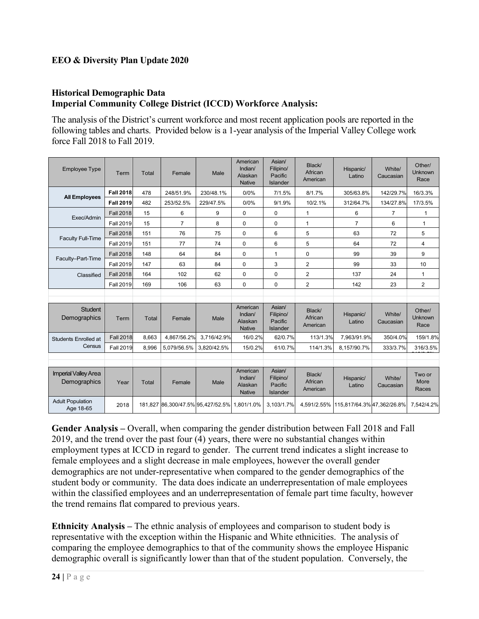## **EEO & Diversity Plan Update 2020**

#### **Historical Demographic Data Imperial Community College District (ICCD) Workforce Analysis:**

The analysis of the District's current workforce and most recent application pools are reported in the following tables and charts. Provided below is a 1-year analysis of the Imperial Valley College work force Fall 2018 to Fall 2019.

| <b>Employee Type</b>                        | Term             | Total        | Female         | Male                              | American<br>Indian/<br>Alaskan<br><b>Native</b> | Asian/<br>Filipino/<br>Pacific<br><b>Islander</b> | Black/<br>African<br>American | Hispanic/<br>Latino                    | White/<br>Caucasian | Other/<br>Unknown<br>Race        |
|---------------------------------------------|------------------|--------------|----------------|-----------------------------------|-------------------------------------------------|---------------------------------------------------|-------------------------------|----------------------------------------|---------------------|----------------------------------|
|                                             | <b>Fall 2018</b> | 478          | 248/51.9%      | 230/48.1%                         | 0/0%                                            | 7/1.5%                                            | 8/1.7%                        | 305/63.8%                              | 142/29.7%           | 16/3.3%                          |
| <b>All Employees</b>                        | <b>Fall 2019</b> | 482          | 253/52.5%      | 229/47.5%                         | 0/0%                                            | 9/1.9%                                            | 10/2.1%                       | 312/64.7%                              | 134/27.8%           | 17/3.5%                          |
|                                             | <b>Fall 2018</b> | 15           | 6              | 9                                 | $\Omega$                                        | $\Omega$                                          | 1                             | 6                                      | $\overline{7}$      | $\mathbf{1}$                     |
| Exec/Admin                                  | <b>Fall 2019</b> | 15           | $\overline{7}$ | 8                                 | $\Omega$                                        | 0                                                 | 1                             | $\overline{7}$                         | 6                   | 1                                |
|                                             | <b>Fall 2018</b> | 151          | 76             | 75                                | $\Omega$                                        | 6                                                 | 5                             | 63                                     | 72                  | 5                                |
| <b>Faculty Full-Time</b>                    | <b>Fall 2019</b> | 151          | 77             | 74                                | $\mathbf 0$                                     | 6                                                 | 5                             | 64                                     | 72                  | 4                                |
|                                             | <b>Fall 2018</b> | 148          | 64             | 84                                | $\mathbf 0$                                     | 1                                                 | $\mathbf 0$                   | 99                                     | 39                  | 9                                |
| Faculty-Part-Time                           | <b>Fall 2019</b> | 147          | 63             | 84                                | $\mathbf 0$                                     | 3                                                 | $\overline{2}$                | 99                                     | 33                  | 10                               |
| Classified                                  | <b>Fall 2018</b> | 164          | 102            | 62                                | $\mathbf 0$                                     | $\mathbf 0$                                       | $\overline{2}$                | 137                                    | 24                  | 1                                |
|                                             | <b>Fall 2019</b> | 169          | 106            | 63                                | $\mathbf 0$                                     | $\mathbf 0$                                       | $\overline{2}$                | 142                                    | 23                  | $\overline{2}$                   |
|                                             |                  |              |                |                                   |                                                 |                                                   |                               |                                        |                     |                                  |
| <b>Student</b><br>Demographics              | Term             | <b>Total</b> | Female         | Male                              | American<br>Indian/<br>Alaskan<br><b>Native</b> | Asian/<br>Filipino/<br>Pacific<br><b>Islander</b> | Black/<br>African<br>American | Hispanic/<br>Latino                    | White/<br>Caucasian | Other/<br><b>Unknown</b><br>Race |
| <b>Students Enrolled at</b>                 | <b>Fall 2018</b> | 8,663        | 4,867/56.2%    | 3,716/42.9%                       | 16/0.2%                                         | 62/0.7%                                           | 113/1.3%                      | 7,963/91.9%                            | 350/4.0%            | 159/1.8%                         |
| Census                                      | <b>Fall 2019</b> | 8,996        | 5.079/56.5%    | 3.820/42.5%                       | 15/0.2%                                         | 61/0.7%                                           | 114/1.3%                      | 8,157/90.7%                            | 333/3.7%            | 316/3.5%                         |
|                                             |                  |              |                |                                   |                                                 |                                                   |                               |                                        |                     |                                  |
| <b>Imperial Valley Area</b><br>Demographics | Year             | Total        | Female         | Male                              | American<br>Indian/<br>Alaskan<br><b>Native</b> | Asian/<br>Filipino/<br>Pacific<br>Islander        | Black/<br>African<br>American | Hispanic/<br>Latino                    | White/<br>Caucasian | Two or<br>More<br>Races          |
| <b>Adult Population</b><br>Age 18-65        | 2018             |              |                | 181,827 86,300/47.5% 95,427/52.5% | 1.801/1.0%                                      | 3.103/1.7%                                        |                               | 4,591/2.55% 115,817/64.3% 47,362/26.8% |                     | 7.542/4.2%                       |

**Gender Analysis –** Overall, when comparing the gender distribution between Fall 2018 and Fall 2019, and the trend over the past four (4) years, there were no substantial changes within employment types at ICCD in regard to gender. The current trend indicates a slight increase to female employees and a slight decrease in male employees, however the overall gender demographics are not under-representative when compared to the gender demographics of the student body or community. The data does indicate an underrepresentation of male employees within the classified employees and an underrepresentation of female part time faculty, however the trend remains flat compared to previous years.

**Ethnicity Analysis –** The ethnic analysis of employees and comparison to student body is representative with the exception within the Hispanic and White ethnicities. The analysis of comparing the employee demographics to that of the community shows the employee Hispanic demographic overall is significantly lower than that of the student population. Conversely, the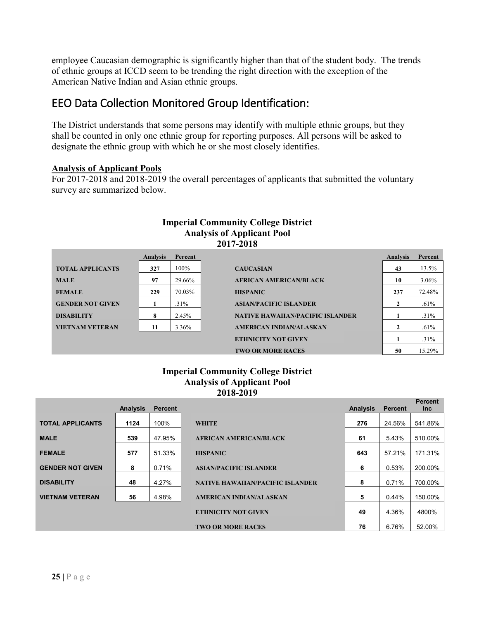employee Caucasian demographic is significantly higher than that of the student body. The trends of ethnic groups at ICCD seem to be trending the right direction with the exception of the American Native Indian and Asian ethnic groups.

# EEO Data Collection Monitored Group Identification:

The District understands that some persons may identify with multiple ethnic groups, but they shall be counted in only one ethnic group for reporting purposes. All persons will be asked to designate the ethnic group with which he or she most closely identifies.

#### **Analysis of Applicant Pools**

For 2017-2018 and 2018-2019 the overall percentages of applicants that submitted the voluntary survey are summarized below.



#### **Imperial Community College District Analysis of Applicant Pool 2018-2019**

|                         | <b>Analysis</b> | <b>Percent</b> |                                         | <b>Analysis</b> | <b>Percent</b> | <b>Percent</b><br>Inc |
|-------------------------|-----------------|----------------|-----------------------------------------|-----------------|----------------|-----------------------|
| <b>TOTAL APPLICANTS</b> | 1124            | 100%           | <b>WHITE</b>                            | 276             | 24.56%         | 541.86%               |
| <b>MALE</b>             | 539             | 47.95%         | <b>AFRICAN AMERICAN/BLACK</b>           | 61              | 5.43%          | 510.00%               |
| <b>FEMALE</b>           | 577             | 51.33%         | <b>HISPANIC</b>                         | 643             | 57.21%         | 171.31%               |
| <b>GENDER NOT GIVEN</b> | 8               | 0.71%          | <b>ASIAN/PACIFIC ISLANDER</b>           | 6               | 0.53%          | 200.00%               |
| <b>DISABILITY</b>       | 48              | 4.27%          | <b>NATIVE HAWAIIAN/PACIFIC ISLANDER</b> | 8               | 0.71%          | 700.00%               |
| <b>VIETNAM VETERAN</b>  | 56              | 4.98%          | <b>AMERICAN INDIAN/ALASKAN</b>          | 5               | 0.44%          | 150.00%               |
|                         |                 |                | <b>ETHNICITY NOT GIVEN</b>              | 49              | 4.36%          | 4800%                 |
|                         |                 |                | <b>TWO OR MORE RACES</b>                | 76              | 6.76%          | 52.00%                |
|                         |                 |                |                                         |                 |                |                       |